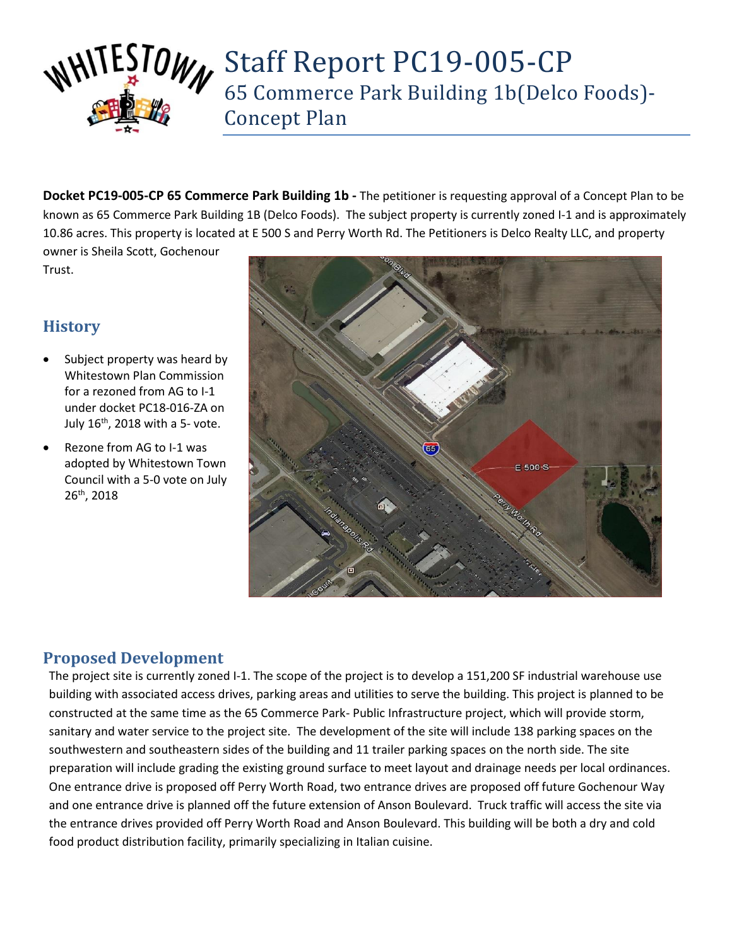

**Docket PC19-005-CP 65 Commerce Park Building 1b -** The petitioner is requesting approval of a Concept Plan to be known as 65 Commerce Park Building 1B (Delco Foods). The subject property is currently zoned I-1 and is approximately 10.86 acres. This property is located at E 500 S and Perry Worth Rd. The Petitioners is Delco Realty LLC, and property owner is Sheila Scott, Gochenour

Trust.

# **History**

- Subject property was heard by Whitestown Plan Commission for a rezoned from AG to I-1 under docket PC18-016-ZA on July  $16^{\text{th}}$ , 2018 with a 5- vote.
- Rezone from AG to I-1 was adopted by Whitestown Town Council with a 5-0 vote on July 26th, 2018



### **Proposed Development**

The project site is currently zoned I-1. The scope of the project is to develop a 151,200 SF industrial warehouse use building with associated access drives, parking areas and utilities to serve the building. This project is planned to be constructed at the same time as the 65 Commerce Park- Public Infrastructure project, which will provide storm, sanitary and water service to the project site. The development of the site will include 138 parking spaces on the southwestern and southeastern sides of the building and 11 trailer parking spaces on the north side. The site preparation will include grading the existing ground surface to meet layout and drainage needs per local ordinances. One entrance drive is proposed off Perry Worth Road, two entrance drives are proposed off future Gochenour Way and one entrance drive is planned off the future extension of Anson Boulevard. Truck traffic will access the site via the entrance drives provided off Perry Worth Road and Anson Boulevard. This building will be both a dry and cold food product distribution facility, primarily specializing in Italian cuisine.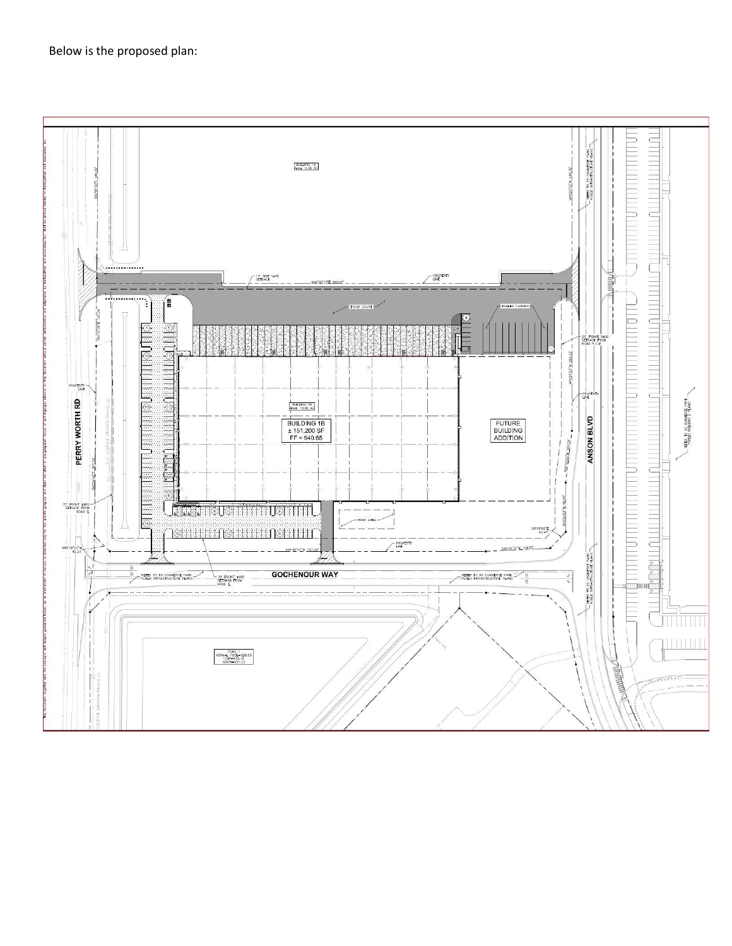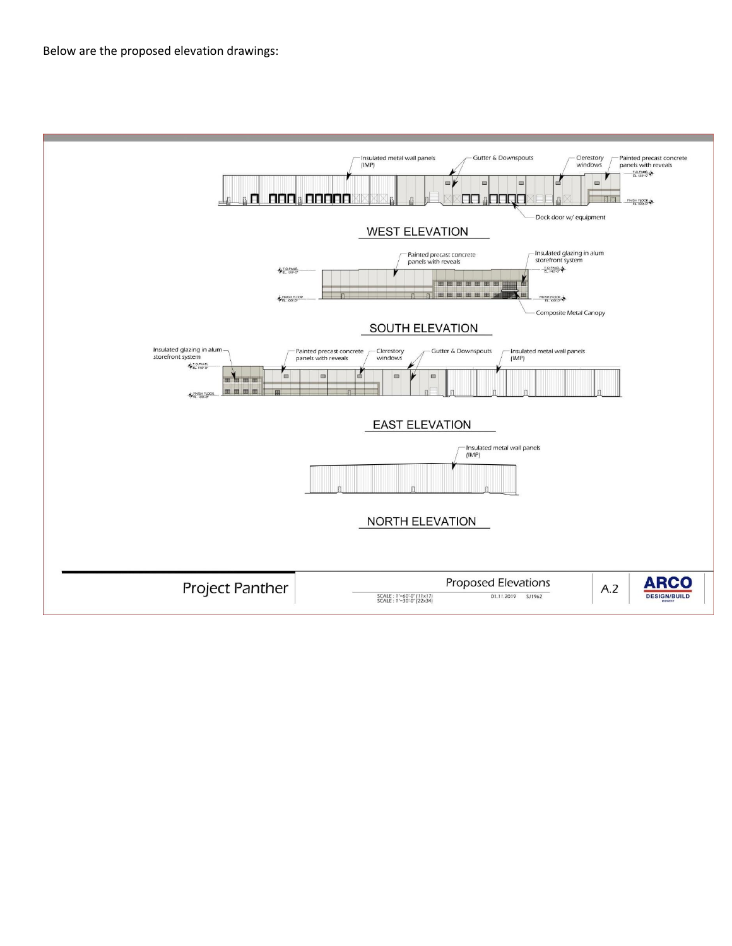Below are the proposed elevation drawings: